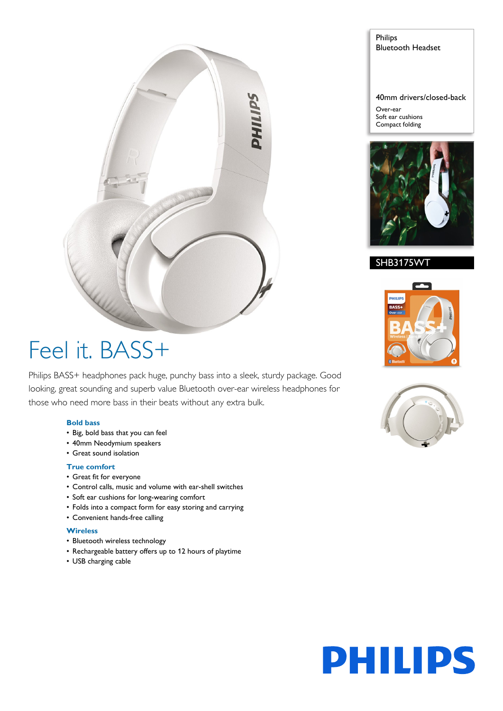

## Feel it. BASS+

Philips BASS+ headphones pack huge, punchy bass into a sleek, sturdy package. Good looking, great sounding and superb value Bluetooth over-ear wireless headphones for those who need more bass in their beats without any extra bulk.

#### **Bold bass**

- Big, bold bass that you can feel
- 40mm Neodymium speakers
- Great sound isolation

#### **True comfort**

- Great fit for everyone
- Control calls, music and volume with ear-shell switches
- Soft ear cushions for long-wearing comfort
- Folds into a compact form for easy storing and carrying
- Convenient hands-free calling

#### **Wireless**

- Bluetooth wireless technology
- Rechargeable battery offers up to 12 hours of playtime
- USB charging cable

.<br>PHILIF

SHB3175WT

Philips

Over-ear Soft ear cushions Compact folding

Bluetooth Headset

40mm drivers/closed-back



## **PHILIPS**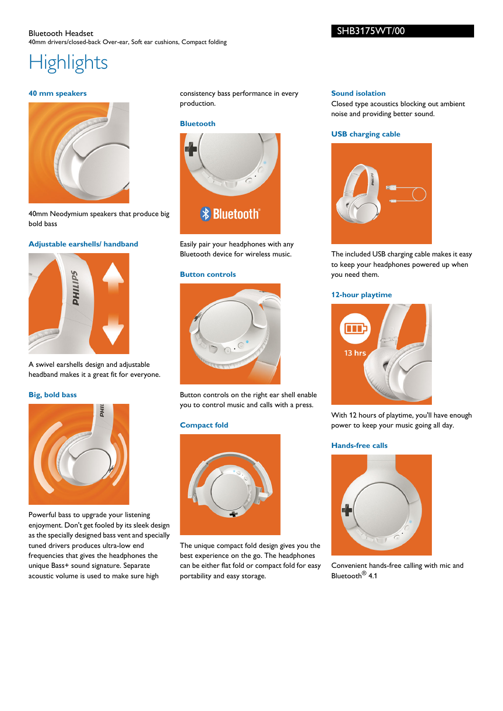#### Bluetooth Headset 40mm drivers/closed-back Over-ear, Soft ear cushions, Compact folding

## **Highlights**

#### **40 mm speakers**



40mm Neodymium speakers that produce big bold bass

#### **Adjustable earshells/ handband**



A swivel earshells design and adjustable headband makes it a great fit for everyone.

#### **Big, bold bass**



Powerful bass to upgrade your listening enjoyment. Don't get fooled by its sleek design as the specially designed bass vent and specially tuned drivers produces ultra-low end frequencies that gives the headphones the unique Bass+ sound signature. Separate acoustic volume is used to make sure high

consistency bass performance in every production.

#### **Bluetooth**



Easily pair your headphones with any Bluetooth device for wireless music.

#### **Button controls**



Button controls on the right ear shell enable you to control music and calls with a press.

#### **Compact fold**



The unique compact fold design gives you the best experience on the go. The headphones can be either flat fold or compact fold for easy portability and easy storage.

#### **Sound isolation**

Closed type acoustics blocking out ambient noise and providing better sound.

#### **USB charging cable**



The included USB charging cable makes it easy to keep your headphones powered up when you need them.

#### **12-hour playtime**



With 12 hours of playtime, you'll have enough power to keep your music going all day.

#### **Hands-free calls**



Convenient hands-free calling with mic and Bluetooth<sup>®</sup> 4.1

#### SHB3175WT/00